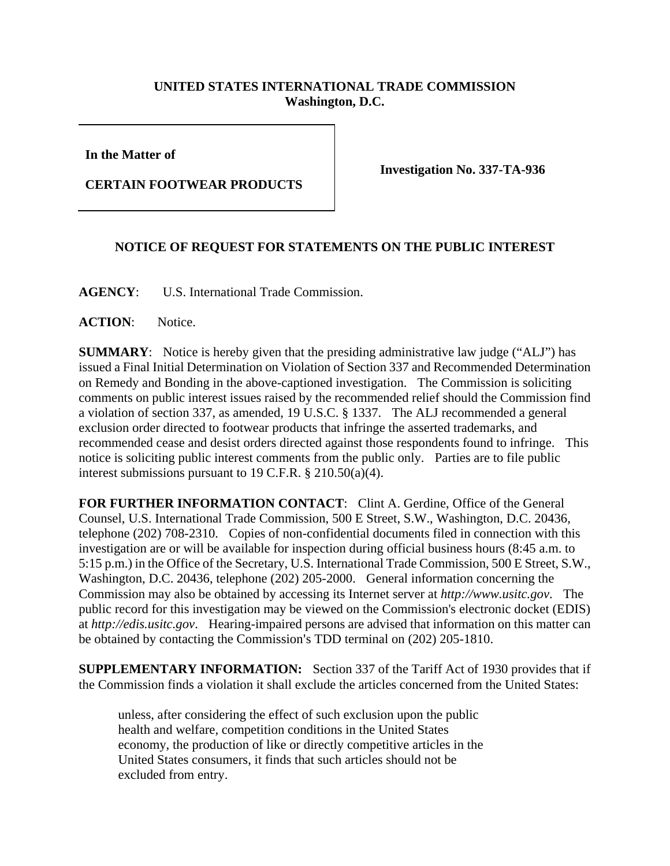## **UNITED STATES INTERNATIONAL TRADE COMMISSION Washington, D.C.**

**In the Matter of** 

**CERTAIN FOOTWEAR PRODUCTS** 

**Investigation No. 337-TA-936** 

## **NOTICE OF REQUEST FOR STATEMENTS ON THE PUBLIC INTEREST**

**AGENCY**: U.S. International Trade Commission.

ACTION: Notice.

**SUMMARY**: Notice is hereby given that the presiding administrative law judge ("ALJ") has issued a Final Initial Determination on Violation of Section 337 and Recommended Determination on Remedy and Bonding in the above-captioned investigation. The Commission is soliciting comments on public interest issues raised by the recommended relief should the Commission find a violation of section 337, as amended, 19 U.S.C. § 1337. The ALJ recommended a general exclusion order directed to footwear products that infringe the asserted trademarks, and recommended cease and desist orders directed against those respondents found to infringe. This notice is soliciting public interest comments from the public only. Parties are to file public interest submissions pursuant to 19 C.F.R. § 210.50(a)(4).

**FOR FURTHER INFORMATION CONTACT**: Clint A. Gerdine, Office of the General Counsel, U.S. International Trade Commission, 500 E Street, S.W., Washington, D.C. 20436, telephone (202) 708-2310. Copies of non-confidential documents filed in connection with this investigation are or will be available for inspection during official business hours (8:45 a.m. to 5:15 p.m.) in the Office of the Secretary, U.S. International Trade Commission, 500 E Street, S.W., Washington, D.C. 20436, telephone (202) 205-2000. General information concerning the Commission may also be obtained by accessing its Internet server at *http://www.usitc.gov*. The public record for this investigation may be viewed on the Commission's electronic docket (EDIS) at *http://edis.usitc.gov*. Hearing-impaired persons are advised that information on this matter can be obtained by contacting the Commission's TDD terminal on (202) 205-1810.

**SUPPLEMENTARY INFORMATION:** Section 337 of the Tariff Act of 1930 provides that if the Commission finds a violation it shall exclude the articles concerned from the United States:

unless, after considering the effect of such exclusion upon the public health and welfare, competition conditions in the United States economy, the production of like or directly competitive articles in the United States consumers, it finds that such articles should not be excluded from entry.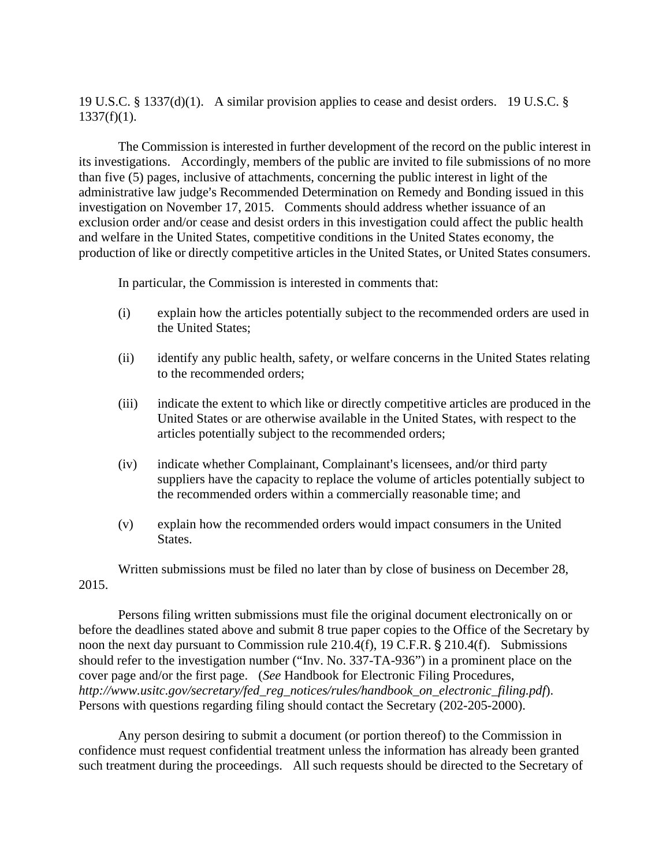19 U.S.C. § 1337(d)(1). A similar provision applies to cease and desist orders. 19 U.S.C. §  $1337(f)(1)$ .

The Commission is interested in further development of the record on the public interest in its investigations. Accordingly, members of the public are invited to file submissions of no more than five (5) pages, inclusive of attachments, concerning the public interest in light of the administrative law judge's Recommended Determination on Remedy and Bonding issued in this investigation on November 17, 2015. Comments should address whether issuance of an exclusion order and/or cease and desist orders in this investigation could affect the public health and welfare in the United States, competitive conditions in the United States economy, the production of like or directly competitive articles in the United States, or United States consumers.

In particular, the Commission is interested in comments that:

- (i) explain how the articles potentially subject to the recommended orders are used in the United States;
- (ii) identify any public health, safety, or welfare concerns in the United States relating to the recommended orders;
- (iii) indicate the extent to which like or directly competitive articles are produced in the United States or are otherwise available in the United States, with respect to the articles potentially subject to the recommended orders;
- $(iv)$  indicate whether Complainant, Complainant's licensees, and/or third party suppliers have the capacity to replace the volume of articles potentially subject to the recommended orders within a commercially reasonable time; and
- (v) explain how the recommended orders would impact consumers in the United States.

Written submissions must be filed no later than by close of business on December 28, 2015.

Persons filing written submissions must file the original document electronically on or before the deadlines stated above and submit 8 true paper copies to the Office of the Secretary by noon the next day pursuant to Commission rule  $210.4(f)$ , 19 C.F.R.  $\S 210.4(f)$ . Submissions should refer to the investigation number ("Inv. No. 337-TA-936") in a prominent place on the cover page and/or the first page. (*See* Handbook for Electronic Filing Procedures, *http://www.usitc.gov/secretary/fed\_reg\_notices/rules/handbook\_on\_electronic\_filing.pdf*). Persons with questions regarding filing should contact the Secretary (202-205-2000).

Any person desiring to submit a document (or portion thereof) to the Commission in confidence must request confidential treatment unless the information has already been granted such treatment during the proceedings. All such requests should be directed to the Secretary of